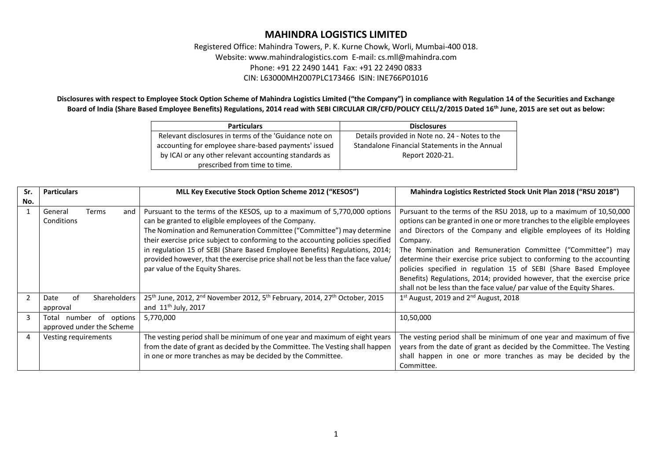Registered Office: Mahindra Towers, P. K. Kurne Chowk, Worli, Mumbai-400 018. Website: www.mahindralogistics.com E-mail: cs.mll@mahindra.com Phone: +91 22 2490 1441 Fax: +91 22 2490 0833 CIN: L63000MH2007PLC173466 ISIN: INE766P01016

**Disclosures with respect to Employee Stock Option Scheme of Mahindra Logistics Limited ("the Company") in compliance with Regulation 14 of the Securities and Exchange Board of India (Share Based Employee Benefits) Regulations, 2014 read with SEBI CIRCULAR CIR/CFD/POLICY CELL/2/2015 Dated 16th June, 2015 are set out as below:**

| <b>Particulars</b>                                     | <b>Disclosures</b>                             |
|--------------------------------------------------------|------------------------------------------------|
| Relevant disclosures in terms of the 'Guidance note on | Details provided in Note no. 24 - Notes to the |
| accounting for employee share-based payments' issued   | Standalone Financial Statements in the Annual  |
| by ICAI or any other relevant accounting standards as  | Report 2020-21.                                |
| prescribed from time to time.                          |                                                |

| Sr. | <b>Particulars</b>                                      | MLL Key Executive Stock Option Scheme 2012 ("KESOS")                                                                                                                                                                                                                                                                                                                                                                                                                                               | Mahindra Logistics Restricted Stock Unit Plan 2018 ("RSU 2018")                                                                                                                                                                                                                                                                                                                                                                                                                                                                                                                                     |
|-----|---------------------------------------------------------|----------------------------------------------------------------------------------------------------------------------------------------------------------------------------------------------------------------------------------------------------------------------------------------------------------------------------------------------------------------------------------------------------------------------------------------------------------------------------------------------------|-----------------------------------------------------------------------------------------------------------------------------------------------------------------------------------------------------------------------------------------------------------------------------------------------------------------------------------------------------------------------------------------------------------------------------------------------------------------------------------------------------------------------------------------------------------------------------------------------------|
| No. |                                                         |                                                                                                                                                                                                                                                                                                                                                                                                                                                                                                    |                                                                                                                                                                                                                                                                                                                                                                                                                                                                                                                                                                                                     |
|     | General<br>Terms<br>and<br>Conditions                   | Pursuant to the terms of the KESOS, up to a maximum of 5,770,000 options<br>can be granted to eligible employees of the Company.<br>The Nomination and Remuneration Committee ("Committee") may determine<br>their exercise price subject to conforming to the accounting policies specified<br>in regulation 15 of SEBI (Share Based Employee Benefits) Regulations, 2014;<br>provided however, that the exercise price shall not be less than the face value/<br>par value of the Equity Shares. | Pursuant to the terms of the RSU 2018, up to a maximum of 10,50,000<br>options can be granted in one or more tranches to the eligible employees<br>and Directors of the Company and eligible employees of its Holding<br>Company.<br>The Nomination and Remuneration Committee ("Committee") may<br>determine their exercise price subject to conforming to the accounting<br>policies specified in regulation 15 of SEBI (Share Based Employee<br>Benefits) Regulations, 2014; provided however, that the exercise price<br>shall not be less than the face value/ par value of the Equity Shares. |
|     | Shareholders<br>οf<br>Date<br>approval                  | 25 <sup>th</sup> June, 2012, 2 <sup>nd</sup> November 2012, 5 <sup>th</sup> February, 2014, 27 <sup>th</sup> October, 2015<br>and $11th$ July, 2017                                                                                                                                                                                                                                                                                                                                                | $1st$ August, 2019 and $2nd$ August, 2018                                                                                                                                                                                                                                                                                                                                                                                                                                                                                                                                                           |
| 3   | number of options<br>Total<br>approved under the Scheme | 5,770,000                                                                                                                                                                                                                                                                                                                                                                                                                                                                                          | 10,50,000                                                                                                                                                                                                                                                                                                                                                                                                                                                                                                                                                                                           |
| 4   | Vesting requirements                                    | The vesting period shall be minimum of one year and maximum of eight years<br>from the date of grant as decided by the Committee. The Vesting shall happen<br>in one or more tranches as may be decided by the Committee.                                                                                                                                                                                                                                                                          | The vesting period shall be minimum of one year and maximum of five<br>years from the date of grant as decided by the Committee. The Vesting<br>shall happen in one or more tranches as may be decided by the<br>Committee.                                                                                                                                                                                                                                                                                                                                                                         |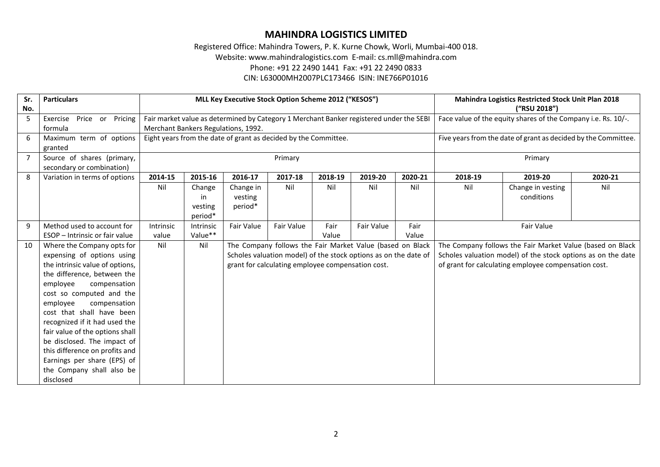Registered Office: Mahindra Towers, P. K. Kurne Chowk, Worli, Mumbai-400 018.

Website: www.mahindralogistics.com E-mail: cs.mll@mahindra.com

Phone: +91 22 2490 1441 Fax: +91 22 2490 0833

CIN: L63000MH2007PLC173466 ISIN: INE766P01016

| Sr.            | <b>Particulars</b>              |                                     |                  | MLL Key Executive Stock Option Scheme 2012 ("KESOS")            |                                                   |         |                                                                                         |         | Mahindra Logistics Restricted Stock Unit Plan 2018 |                                                               |         |
|----------------|---------------------------------|-------------------------------------|------------------|-----------------------------------------------------------------|---------------------------------------------------|---------|-----------------------------------------------------------------------------------------|---------|----------------------------------------------------|---------------------------------------------------------------|---------|
| No.            |                                 |                                     |                  |                                                                 |                                                   |         |                                                                                         |         |                                                    | ("RSU 2018")                                                  |         |
| 5              | Exercise<br>Price or Pricing    |                                     |                  |                                                                 |                                                   |         | Fair market value as determined by Category 1 Merchant Banker registered under the SEBI |         |                                                    | Face value of the equity shares of the Company i.e. Rs. 10/-. |         |
|                | formula                         | Merchant Bankers Regulations, 1992. |                  |                                                                 |                                                   |         |                                                                                         |         |                                                    |                                                               |         |
| 6              | Maximum term of options         |                                     |                  | Eight years from the date of grant as decided by the Committee. |                                                   |         | Five years from the date of grant as decided by the Committee.                          |         |                                                    |                                                               |         |
|                | granted                         |                                     |                  |                                                                 |                                                   |         |                                                                                         |         |                                                    |                                                               |         |
| $\overline{7}$ | Source of shares (primary,      |                                     |                  |                                                                 | Primary                                           |         |                                                                                         |         |                                                    | Primary                                                       |         |
|                | secondary or combination)       |                                     |                  |                                                                 |                                                   |         |                                                                                         |         |                                                    |                                                               |         |
| 8              | Variation in terms of options   | 2014-15                             | 2015-16          | 2016-17                                                         | 2017-18                                           | 2018-19 | 2019-20                                                                                 | 2020-21 | 2018-19                                            | 2019-20                                                       | 2020-21 |
|                |                                 | Nil                                 | Change           | Change in                                                       | Nil                                               | Nil     | Nil                                                                                     | Nil     | Nil                                                | Change in vesting                                             | Nil     |
|                |                                 |                                     | in               | vesting                                                         |                                                   |         |                                                                                         |         |                                                    | conditions                                                    |         |
|                |                                 |                                     | vesting          | period*                                                         |                                                   |         |                                                                                         |         |                                                    |                                                               |         |
|                |                                 |                                     | period*          |                                                                 |                                                   |         |                                                                                         |         |                                                    |                                                               |         |
| 9              | Method used to account for      | Intrinsic                           | <b>Intrinsic</b> | Fair Value                                                      | Fair Value                                        | Fair    | <b>Fair Value</b>                                                                       | Fair    | Fair Value                                         |                                                               |         |
|                | ESOP - Intrinsic or fair value  | value                               | Value**          |                                                                 |                                                   | Value   |                                                                                         | Value   |                                                    |                                                               |         |
| 10             | Where the Company opts for      | Nil                                 | Nil              |                                                                 |                                                   |         | The Company follows the Fair Market Value (based on Black                               |         |                                                    | The Company follows the Fair Market Value (based on Black     |         |
|                | expensing of options using      |                                     |                  |                                                                 |                                                   |         | Scholes valuation model) of the stock options as on the date of                         |         |                                                    | Scholes valuation model) of the stock options as on the date  |         |
|                | the intrinsic value of options, |                                     |                  |                                                                 | grant for calculating employee compensation cost. |         |                                                                                         |         |                                                    | of grant for calculating employee compensation cost.          |         |
|                | the difference, between the     |                                     |                  |                                                                 |                                                   |         |                                                                                         |         |                                                    |                                                               |         |
|                | employee<br>compensation        |                                     |                  |                                                                 |                                                   |         |                                                                                         |         |                                                    |                                                               |         |
|                | cost so computed and the        |                                     |                  |                                                                 |                                                   |         |                                                                                         |         |                                                    |                                                               |         |
|                | compensation<br>employee        |                                     |                  |                                                                 |                                                   |         |                                                                                         |         |                                                    |                                                               |         |
|                | cost that shall have been       |                                     |                  |                                                                 |                                                   |         |                                                                                         |         |                                                    |                                                               |         |
|                | recognized if it had used the   |                                     |                  |                                                                 |                                                   |         |                                                                                         |         |                                                    |                                                               |         |
|                | fair value of the options shall |                                     |                  |                                                                 |                                                   |         |                                                                                         |         |                                                    |                                                               |         |
|                | be disclosed. The impact of     |                                     |                  |                                                                 |                                                   |         |                                                                                         |         |                                                    |                                                               |         |
|                | this difference on profits and  |                                     |                  |                                                                 |                                                   |         |                                                                                         |         |                                                    |                                                               |         |
|                | Earnings per share (EPS) of     |                                     |                  |                                                                 |                                                   |         |                                                                                         |         |                                                    |                                                               |         |
|                | the Company shall also be       |                                     |                  |                                                                 |                                                   |         |                                                                                         |         |                                                    |                                                               |         |
|                | disclosed                       |                                     |                  |                                                                 |                                                   |         |                                                                                         |         |                                                    |                                                               |         |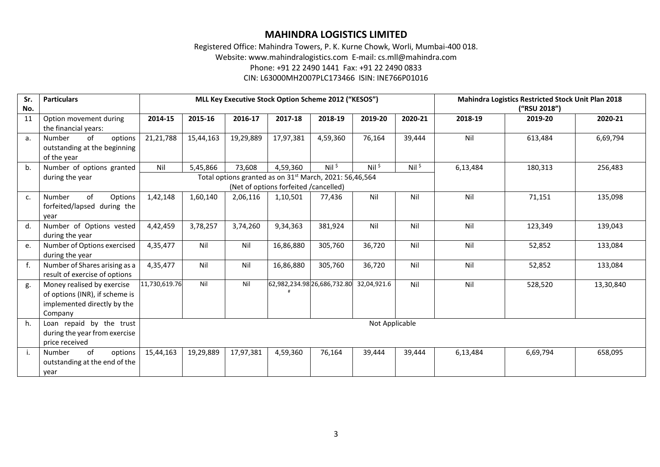Registered Office: Mahindra Towers, P. K. Kurne Chowk, Worli, Mumbai-400 018. Website: www.mahindralogistics.com E-mail: cs.mll@mahindra.com Phone: +91 22 2490 1441 Fax: +91 22 2490 0833 CIN: L63000MH2007PLC173466 ISIN: INE766P01016

| Sr.<br>No.     | <b>Particulars</b>                                                                                     |               | MLL Key Executive Stock Option Scheme 2012 ("KESOS") |           |                                       |                                                                     |                     |          |          | <b>Mahindra Logistics Restricted Stock Unit Plan 2018</b><br>("RSU 2018") |           |
|----------------|--------------------------------------------------------------------------------------------------------|---------------|------------------------------------------------------|-----------|---------------------------------------|---------------------------------------------------------------------|---------------------|----------|----------|---------------------------------------------------------------------------|-----------|
| 11             | Option movement during<br>the financial years:                                                         | 2014-15       | 2015-16                                              | 2016-17   | 2017-18                               | 2018-19                                                             | 2019-20             | 2020-21  | 2018-19  | 2019-20                                                                   | 2020-21   |
| a.             | of<br>options<br>Number<br>outstanding at the beginning<br>of the year                                 | 21,21,788     | 15,44,163                                            | 19,29,889 | 17,97,381                             | 4,59,360                                                            | 76,164              | 39,444   | Nil      | 613,484                                                                   | 6,69,794  |
| b.             | Number of options granted                                                                              | Nil           | 5,45,866                                             | 73,608    | 4,59,360                              | $Nil$ \$                                                            | $Nil$ $\frac{1}{2}$ | $Nil$ \$ | 6,13,484 | 180,313                                                                   | 256,483   |
|                | during the year                                                                                        |               |                                                      |           | (Net of options forfeited /cancelled) | Total options granted as on 31 <sup>st</sup> March, 2021: 56,46,564 |                     |          |          |                                                                           |           |
| c.             | of<br>Options<br>Number<br>forfeited/lapsed during the<br>year                                         | 1,42,148      | 1,60,140                                             | 2,06,116  | 1,10,501                              | 77,436                                                              | Nil                 | Nil      | Nil      | 71,151                                                                    | 135,098   |
| d.             | Number of Options vested<br>during the year                                                            | 4,42,459      | 3,78,257                                             | 3,74,260  | 9,34,363                              | 381,924                                                             | Nil                 | Nil      | Nil      | 123,349                                                                   | 139,043   |
| e.             | Number of Options exercised<br>during the year                                                         | 4,35,477      | Nil                                                  | Nil       | 16,86,880                             | 305,760                                                             | 36,720              | Nil      | Nil      | 52,852                                                                    | 133,084   |
| f <sub>r</sub> | Number of Shares arising as a<br>result of exercise of options                                         | 4,35,477      | Nil                                                  | Nil       | 16,86,880                             | 305,760                                                             | 36,720              | Nil      | Nil      | 52,852                                                                    | 133,084   |
| g.             | Money realised by exercise<br>of options (INR), if scheme is<br>implemented directly by the<br>Company | 11,730,619.76 | Nil                                                  | Nil       |                                       | 62,982,234.98 26,686,732.80                                         | 32,04,921.6         | Nil      | Nil      | 528,520                                                                   | 13,30,840 |
| h.             | Loan repaid by the trust<br>during the year from exercise<br>price received                            |               | Not Applicable                                       |           |                                       |                                                                     |                     |          |          |                                                                           |           |
| i.             | of<br>Number<br>options<br>outstanding at the end of the<br>year                                       | 15,44,163     | 19,29,889                                            | 17,97,381 | 4,59,360                              | 76,164                                                              | 39,444              | 39,444   | 6,13,484 | 6,69,794                                                                  | 658,095   |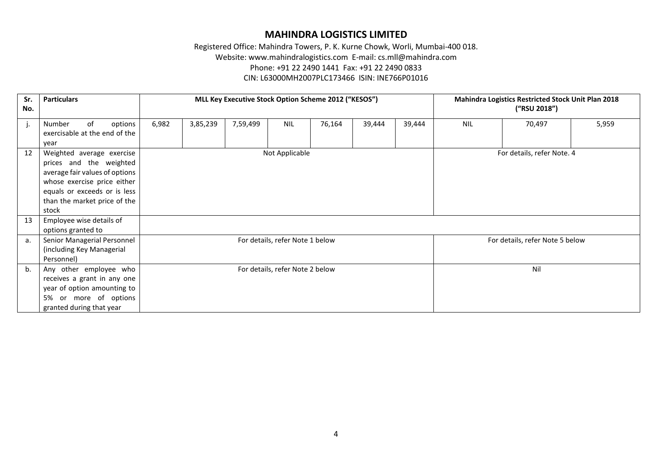Registered Office: Mahindra Towers, P. K. Kurne Chowk, Worli, Mumbai-400 018. Website: www.mahindralogistics.com E-mail: cs.mll@mahindra.com Phone: +91 22 2490 1441 Fax: +91 22 2490 0833 CIN: L63000MH2007PLC173466 ISIN: INE766P01016

#### **Sr. No. Particulars MLL Key Executive Stock Option Scheme 2012 ("KESOS") Mahindra Logistics Restricted Stock Unit Plan 2018 ("RSU 2018")** j. Number of options exercisable at the end of the year 6,982 3,85,239 7,59,499 NIL 76,164 39,444 39,444 NIL 70,497 5,959 12 Weighted average exercise prices and the weighted average fair values of options whose exercise price either equals or exceeds or is less than the market price of the stock Not Applicable Form  $\sim$  For details, refer Note. 4 13 Employee wise details of options granted to a. Senior Managerial Personnel (including Key Managerial Personnel) For details, refer Note 1 below For details, refer Note 5 below b. Any other employee who receives a grant in any one year of option amounting to 5% or more of options granted during that year For details, refer Note 2 below Nill Nill and Section 2 and Nill Albert 2 and Nill Albert 2 and Nill Albert 2 and Nill Albert 2 and Nill Albert 2 and Nill Albert 2 and Nill Albert 2 and Nill Albert 2 and Nill Albert 2 and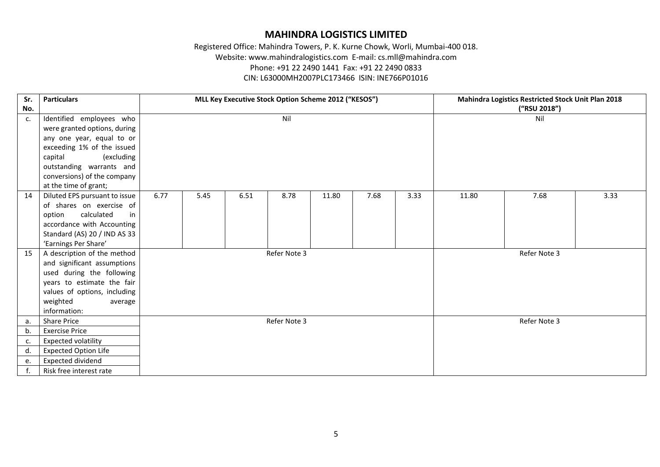Registered Office: Mahindra Towers, P. K. Kurne Chowk, Worli, Mumbai-400 018. Website: www.mahindralogistics.com E-mail: cs.mll@mahindra.com Phone: +91 22 2490 1441 Fax: +91 22 2490 0833 CIN: L63000MH2007PLC173466 ISIN: INE766P01016

| Sr. | <b>Particulars</b>            |      |      |      | MLL Key Executive Stock Option Scheme 2012 ("KESOS") |       |      |      |       | <b>Mahindra Logistics Restricted Stock Unit Plan 2018</b> |      |
|-----|-------------------------------|------|------|------|------------------------------------------------------|-------|------|------|-------|-----------------------------------------------------------|------|
| No. |                               |      |      |      |                                                      |       |      |      |       | ("RSU 2018")                                              |      |
| c.  | Identified employees who      |      |      |      | Nil                                                  |       |      |      |       | Nil                                                       |      |
|     | were granted options, during  |      |      |      |                                                      |       |      |      |       |                                                           |      |
|     | any one year, equal to or     |      |      |      |                                                      |       |      |      |       |                                                           |      |
|     | exceeding 1% of the issued    |      |      |      |                                                      |       |      |      |       |                                                           |      |
|     | capital<br>(excluding         |      |      |      |                                                      |       |      |      |       |                                                           |      |
|     | outstanding warrants and      |      |      |      |                                                      |       |      |      |       |                                                           |      |
|     | conversions) of the company   |      |      |      |                                                      |       |      |      |       |                                                           |      |
|     | at the time of grant;         |      |      |      |                                                      |       |      |      |       |                                                           |      |
| 14  | Diluted EPS pursuant to issue | 6.77 | 5.45 | 6.51 | 8.78                                                 | 11.80 | 7.68 | 3.33 | 11.80 | 7.68                                                      | 3.33 |
|     | of shares on exercise of      |      |      |      |                                                      |       |      |      |       |                                                           |      |
|     | calculated<br>option<br>in    |      |      |      |                                                      |       |      |      |       |                                                           |      |
|     | accordance with Accounting    |      |      |      |                                                      |       |      |      |       |                                                           |      |
|     | Standard (AS) 20 / IND AS 33  |      |      |      |                                                      |       |      |      |       |                                                           |      |
|     | 'Earnings Per Share'          |      |      |      |                                                      |       |      |      |       |                                                           |      |
| 15  | A description of the method   |      |      |      | Refer Note 3                                         |       |      |      |       | Refer Note 3                                              |      |
|     | and significant assumptions   |      |      |      |                                                      |       |      |      |       |                                                           |      |
|     | used during the following     |      |      |      |                                                      |       |      |      |       |                                                           |      |
|     | years to estimate the fair    |      |      |      |                                                      |       |      |      |       |                                                           |      |
|     | values of options, including  |      |      |      |                                                      |       |      |      |       |                                                           |      |
|     | weighted<br>average           |      |      |      |                                                      |       |      |      |       |                                                           |      |
|     | information:                  |      |      |      |                                                      |       |      |      |       |                                                           |      |
| a.  | <b>Share Price</b>            |      |      |      | Refer Note 3                                         |       |      |      |       | Refer Note 3                                              |      |
| b.  | <b>Exercise Price</b>         |      |      |      |                                                      |       |      |      |       |                                                           |      |
| c.  | <b>Expected volatility</b>    |      |      |      |                                                      |       |      |      |       |                                                           |      |
| d.  | <b>Expected Option Life</b>   |      |      |      |                                                      |       |      |      |       |                                                           |      |
| e.  | Expected dividend             |      |      |      |                                                      |       |      |      |       |                                                           |      |
| f.  | Risk free interest rate       |      |      |      |                                                      |       |      |      |       |                                                           |      |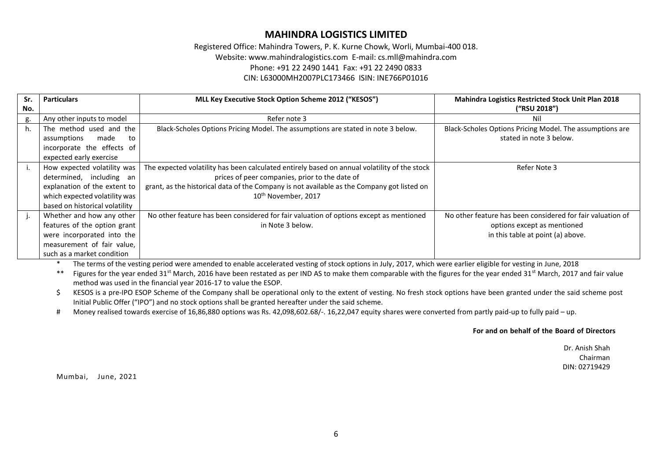Registered Office: Mahindra Towers, P. K. Kurne Chowk, Worli, Mumbai-400 018. Website: www.mahindralogistics.com E-mail: cs.mll@mahindra.com Phone: +91 22 2490 1441 Fax: +91 22 2490 0833 CIN: L63000MH2007PLC173466 ISIN: INE766P01016

| Sr. | <b>Particulars</b>             | MLL Key Executive Stock Option Scheme 2012 ("KESOS")                                         | <b>Mahindra Logistics Restricted Stock Unit Plan 2018</b>  |
|-----|--------------------------------|----------------------------------------------------------------------------------------------|------------------------------------------------------------|
| No. |                                |                                                                                              | ("RSU 2018")                                               |
| g.  | Any other inputs to model      | Refer note 3                                                                                 | Nil                                                        |
| h.  | The method used and the        | Black-Scholes Options Pricing Model. The assumptions are stated in note 3 below.             | Black-Scholes Options Pricing Model. The assumptions are   |
|     | assumptions<br>made<br>to      |                                                                                              | stated in note 3 below.                                    |
|     | incorporate the effects of     |                                                                                              |                                                            |
|     | expected early exercise        |                                                                                              |                                                            |
| ъ.  | How expected volatility was    | The expected volatility has been calculated entirely based on annual volatility of the stock | Refer Note 3                                               |
|     | determined, including an       | prices of peer companies, prior to the date of                                               |                                                            |
|     | explanation of the extent to   | grant, as the historical data of the Company is not available as the Company got listed on   |                                                            |
|     | which expected volatility was  | 10 <sup>th</sup> November, 2017                                                              |                                                            |
|     | based on historical volatility |                                                                                              |                                                            |
| ъ.  | Whether and how any other      | No other feature has been considered for fair valuation of options except as mentioned       | No other feature has been considered for fair valuation of |
|     | features of the option grant   | in Note 3 below.                                                                             | options except as mentioned                                |
|     | were incorporated into the     |                                                                                              | in this table at point (a) above.                          |
|     | measurement of fair value,     |                                                                                              |                                                            |
|     | such as a market condition     |                                                                                              |                                                            |

\* The terms of the vesting period were amended to enable accelerated vesting of stock options in July, 2017, which were earlier eligible for vesting in June, 2018

\*\* Figures for the year ended 31<sup>st</sup> March, 2016 have been restated as per IND AS to make them comparable with the figures for the year ended 31<sup>st</sup> March, 2017 and fair value method was used in the financial year 2016-17 to value the ESOP.

\$ KESOS is a pre-IPO ESOP Scheme of the Company shall be operational only to the extent of vesting. No fresh stock options have been granted under the said scheme post Initial Public Offer ("IPO") and no stock options shall be granted hereafter under the said scheme.

# Money realised towards exercise of 16,86,880 options was Rs. 42,098,602.68/-. 16,22,047 equity shares were converted from partly paid-up to fully paid – up.

#### **For and on behalf of the Board of Directors**

Dr. Anish Shah Chairman DIN: 02719429

Mumbai, June, 2021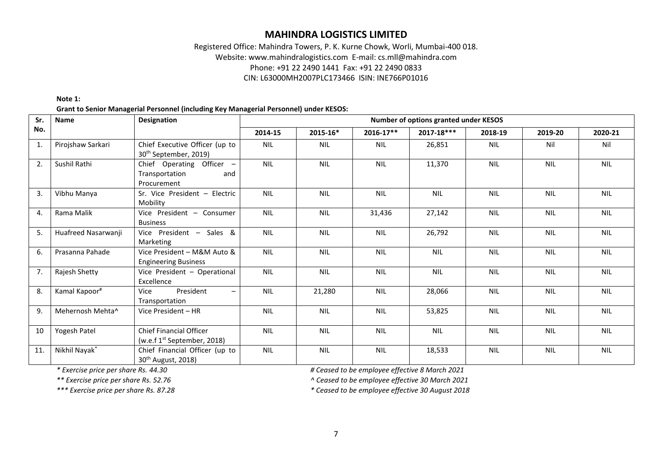## Registered Office: Mahindra Towers, P. K. Kurne Chowk, Worli, Mumbai-400 018. Website: www.mahindralogistics.com E-mail: cs.mll@mahindra.com Phone: +91 22 2490 1441 Fax: +91 22 2490 0833 CIN: L63000MH2007PLC173466 ISIN: INE766P01016

#### **Note 1: Grant to Senior Managerial Personnel (including Key Managerial Personnel) under KESOS:**

| Sr. | <b>Name</b>         | <b>Designation</b>                                                        | Number of options granted under KESOS |            |            |            |            |            |            |  |  |  |  |
|-----|---------------------|---------------------------------------------------------------------------|---------------------------------------|------------|------------|------------|------------|------------|------------|--|--|--|--|
| No. |                     |                                                                           | 2014-15                               | 2015-16*   | 2016-17**  | 2017-18*** | 2018-19    | 2019-20    | 2020-21    |  |  |  |  |
| 1.  | Pirojshaw Sarkari   | Chief Executive Officer (up to<br>30 <sup>th</sup> September, 2019)       | <b>NIL</b>                            | <b>NIL</b> | <b>NIL</b> | 26,851     | <b>NIL</b> | Nil        | Nil        |  |  |  |  |
| 2.  | Sushil Rathi        | Chief Operating Officer -<br>Transportation<br>and<br>Procurement         | <b>NIL</b>                            | <b>NIL</b> | <b>NIL</b> | 11,370     | <b>NIL</b> | <b>NIL</b> | <b>NIL</b> |  |  |  |  |
| 3.  | Vibhu Manya         | Sr. Vice President - Electric<br>Mobility                                 | <b>NIL</b>                            | <b>NIL</b> | <b>NIL</b> | <b>NIL</b> | <b>NIL</b> | <b>NIL</b> | <b>NIL</b> |  |  |  |  |
| 4.  | Rama Malik          | Vice President - Consumer<br><b>Business</b>                              | <b>NIL</b>                            | <b>NIL</b> | 31,436     | 27,142     | <b>NIL</b> | <b>NIL</b> | <b>NIL</b> |  |  |  |  |
| 5.  | Huafreed Nasarwanji | Vice President - Sales &<br>Marketing                                     | <b>NIL</b>                            | <b>NIL</b> | <b>NIL</b> | 26,792     | <b>NIL</b> | <b>NIL</b> | <b>NIL</b> |  |  |  |  |
| 6.  | Prasanna Pahade     | Vice President - M&M Auto &<br><b>Engineering Business</b>                | <b>NIL</b>                            | <b>NIL</b> | <b>NIL</b> | <b>NIL</b> | <b>NIL</b> | <b>NIL</b> | <b>NIL</b> |  |  |  |  |
| 7.  | Rajesh Shetty       | Vice President - Operational<br>Excellence                                | <b>NIL</b>                            | <b>NIL</b> | <b>NIL</b> | <b>NIL</b> | <b>NIL</b> | <b>NIL</b> | <b>NIL</b> |  |  |  |  |
| 8.  | Kamal Kapoor#       | President<br>Vice<br>$\overline{\phantom{0}}$<br>Transportation           | <b>NIL</b>                            | 21,280     | <b>NIL</b> | 28,066     | <b>NIL</b> | <b>NIL</b> | <b>NIL</b> |  |  |  |  |
| 9.  | Mehernosh Mehta^    | Vice President - HR                                                       | <b>NIL</b>                            | <b>NIL</b> | <b>NIL</b> | 53,825     | <b>NIL</b> | <b>NIL</b> | <b>NIL</b> |  |  |  |  |
| 10  | Yogesh Patel        | <b>Chief Financial Officer</b><br>(w.e.f 1 <sup>st</sup> September, 2018) | <b>NIL</b>                            | <b>NIL</b> | <b>NIL</b> | <b>NIL</b> | <b>NIL</b> | <b>NIL</b> | <b>NIL</b> |  |  |  |  |
| 11. | Nikhil Nayak*       | Chief Financial Officer (up to<br>30 <sup>th</sup> August, 2018)          | <b>NIL</b>                            | <b>NIL</b> | <b>NIL</b> | 18,533     | <b>NIL</b> | <b>NIL</b> | <b>NIL</b> |  |  |  |  |

*\* Exercise price per share Rs. 44.30 # Ceased to be employee effective 8 March 2021*

*\*\* Exercise price per share Rs. 52.76 ^ Ceased to be employee effective 30 March 2021*

*\*\*\* Exercise price per share Rs. 87.28 \* Ceased to be employee effective 30 August 2018*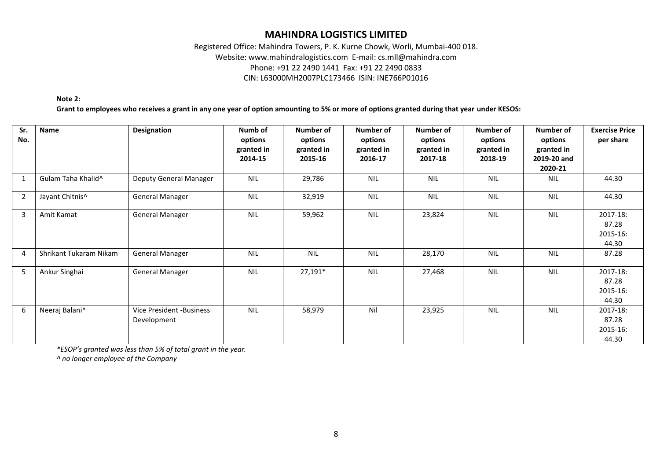### Registered Office: Mahindra Towers, P. K. Kurne Chowk, Worli, Mumbai-400 018. Website: www.mahindralogistics.com E-mail: cs.mll@mahindra.com Phone: +91 22 2490 1441 Fax: +91 22 2490 0833 CIN: L63000MH2007PLC173466 ISIN: INE766P01016

**Note 2:** 

**Grant to employees who receives a grant in any one year of option amounting to 5% or more of options granted during that year under KESOS:**

| Sr.<br>No.     | Name                           | <b>Designation</b>                      | Numb of<br>options<br>granted in<br>2014-15 | Number of<br>options<br>granted in<br>2015-16 | <b>Number of</b><br>options<br>granted in<br>2016-17 | Number of<br>options<br>granted in<br>2017-18 | Number of<br>options<br>granted in<br>2018-19 | Number of<br>options<br>granted in<br>2019-20 and<br>2020-21 | <b>Exercise Price</b><br>per share     |
|----------------|--------------------------------|-----------------------------------------|---------------------------------------------|-----------------------------------------------|------------------------------------------------------|-----------------------------------------------|-----------------------------------------------|--------------------------------------------------------------|----------------------------------------|
| $\mathbf{1}$   | Gulam Taha Khalid <sup>^</sup> | Deputy General Manager                  | <b>NIL</b>                                  | 29,786                                        | <b>NIL</b>                                           | <b>NIL</b>                                    | <b>NIL</b>                                    | <b>NIL</b>                                                   | 44.30                                  |
| $\overline{2}$ | Jayant Chitnis^                | <b>General Manager</b>                  | <b>NIL</b>                                  | 32,919                                        | <b>NIL</b>                                           | <b>NIL</b>                                    | <b>NIL</b>                                    | <b>NIL</b>                                                   | 44.30                                  |
| 3              | Amit Kamat                     | <b>General Manager</b>                  | <b>NIL</b>                                  | 59,962                                        | <b>NIL</b>                                           | 23,824                                        | <b>NIL</b>                                    | <b>NIL</b>                                                   | 2017-18:<br>87.28<br>2015-16:<br>44.30 |
| $\overline{4}$ | Shrikant Tukaram Nikam         | <b>General Manager</b>                  | <b>NIL</b>                                  | <b>NIL</b>                                    | <b>NIL</b>                                           | 28,170                                        | <b>NIL</b>                                    | <b>NIL</b>                                                   | 87.28                                  |
| 5              | Ankur Singhai                  | <b>General Manager</b>                  | <b>NIL</b>                                  | $27,191*$                                     | <b>NIL</b>                                           | 27,468                                        | <b>NIL</b>                                    | <b>NIL</b>                                                   | 2017-18:<br>87.28<br>2015-16:<br>44.30 |
| 6              | Neeraj Balani^                 | Vice President -Business<br>Development | <b>NIL</b>                                  | 58,979                                        | Nil                                                  | 23,925                                        | <b>NIL</b>                                    | <b>NIL</b>                                                   | 2017-18:<br>87.28<br>2015-16:<br>44.30 |

*\*ESOP's granted was less than 5% of total grant in the year.*

*^ no longer employee of the Company*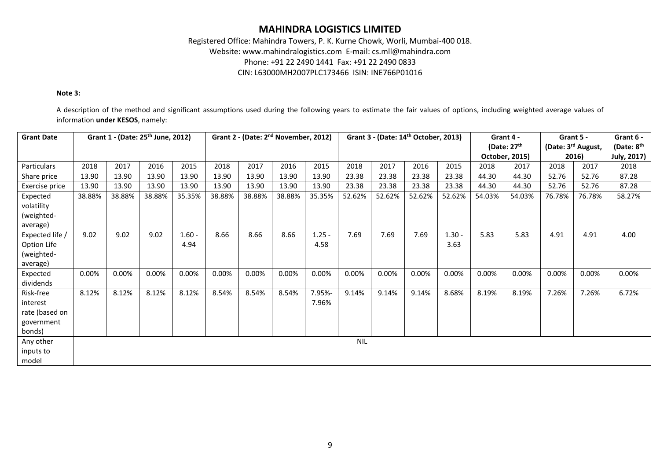### Registered Office: Mahindra Towers, P. K. Kurne Chowk, Worli, Mumbai-400 018. Website: www.mahindralogistics.com E-mail: cs.mll@mahindra.com Phone: +91 22 2490 1441 Fax: +91 22 2490 0833 CIN: L63000MH2007PLC173466 ISIN: INE766P01016

#### **Note 3:**

A description of the method and significant assumptions used during the following years to estimate the fair values of options, including weighted average values of information **under KESOS**, namely:

| <b>Grant Date</b> |        | Grant 1 - (Date: 25 <sup>th</sup> June, 2012) |        |          |        |        | Grant 2 - (Date: 2 <sup>nd</sup> November, 2012) |          |            |        | Grant 3 - (Date: 14 <sup>th</sup> October, 2013) |          |        | Grant 4 -      |        | Grant 5 -          | Grant 6 -    |
|-------------------|--------|-----------------------------------------------|--------|----------|--------|--------|--------------------------------------------------|----------|------------|--------|--------------------------------------------------|----------|--------|----------------|--------|--------------------|--------------|
|                   |        |                                               |        |          |        |        |                                                  |          |            |        |                                                  |          |        | (Date: $27th$  |        | (Date: 3rd August, | (Date: $8th$ |
|                   |        |                                               |        |          |        |        |                                                  |          |            |        |                                                  |          |        | October, 2015) |        | 2016)              | July, 2017)  |
| Particulars       | 2018   | 2017                                          | 2016   | 2015     | 2018   | 2017   | 2016                                             | 2015     | 2018       | 2017   | 2016                                             | 2015     | 2018   | 2017           | 2018   | 2017               | 2018         |
| Share price       | 13.90  | 13.90                                         | 13.90  | 13.90    | 13.90  | 13.90  | 13.90                                            | 13.90    | 23.38      | 23.38  | 23.38                                            | 23.38    | 44.30  | 44.30          | 52.76  | 52.76              | 87.28        |
| Exercise price    | 13.90  | 13.90                                         | 13.90  | 13.90    | 13.90  | 13.90  | 13.90                                            | 13.90    | 23.38      | 23.38  | 23.38                                            | 23.38    | 44.30  | 44.30          | 52.76  | 52.76              | 87.28        |
| Expected          | 38.88% | 38.88%                                        | 38.88% | 35.35%   | 38.88% | 38.88% | 38.88%                                           | 35.35%   | 52.62%     | 52.62% | 52.62%                                           | 52.62%   | 54.03% | 54.03%         | 76.78% | 76.78%             | 58.27%       |
| volatility        |        |                                               |        |          |        |        |                                                  |          |            |        |                                                  |          |        |                |        |                    |              |
| (weighted-        |        |                                               |        |          |        |        |                                                  |          |            |        |                                                  |          |        |                |        |                    |              |
| average)          |        |                                               |        |          |        |        |                                                  |          |            |        |                                                  |          |        |                |        |                    |              |
| Expected life /   | 9.02   | 9.02                                          | 9.02   | $1.60 -$ | 8.66   | 8.66   | 8.66                                             | $1.25 -$ | 7.69       | 7.69   | 7.69                                             | $1.30 -$ | 5.83   | 5.83           | 4.91   | 4.91               | 4.00         |
| Option Life       |        |                                               |        | 4.94     |        |        |                                                  | 4.58     |            |        |                                                  | 3.63     |        |                |        |                    |              |
| (weighted-        |        |                                               |        |          |        |        |                                                  |          |            |        |                                                  |          |        |                |        |                    |              |
| average)          |        |                                               |        |          |        |        |                                                  |          |            |        |                                                  |          |        |                |        |                    |              |
| Expected          | 0.00%  | 0.00%                                         | 0.00%  | 0.00%    | 0.00%  | 0.00%  | 0.00%                                            | 0.00%    | 0.00%      | 0.00%  | 0.00%                                            | 0.00%    | 0.00%  | 0.00%          | 0.00%  | 0.00%              | 0.00%        |
| dividends         |        |                                               |        |          |        |        |                                                  |          |            |        |                                                  |          |        |                |        |                    |              |
| Risk-free         | 8.12%  | 8.12%                                         | 8.12%  | 8.12%    | 8.54%  | 8.54%  | 8.54%                                            | 7.95%-   | 9.14%      | 9.14%  | 9.14%                                            | 8.68%    | 8.19%  | 8.19%          | 7.26%  | 7.26%              | 6.72%        |
| interest          |        |                                               |        |          |        |        |                                                  | 7.96%    |            |        |                                                  |          |        |                |        |                    |              |
| rate (based on    |        |                                               |        |          |        |        |                                                  |          |            |        |                                                  |          |        |                |        |                    |              |
| government        |        |                                               |        |          |        |        |                                                  |          |            |        |                                                  |          |        |                |        |                    |              |
| bonds)            |        |                                               |        |          |        |        |                                                  |          |            |        |                                                  |          |        |                |        |                    |              |
| Any other         |        |                                               |        |          |        |        |                                                  |          | <b>NIL</b> |        |                                                  |          |        |                |        |                    |              |
| inputs to         |        |                                               |        |          |        |        |                                                  |          |            |        |                                                  |          |        |                |        |                    |              |
| model             |        |                                               |        |          |        |        |                                                  |          |            |        |                                                  |          |        |                |        |                    |              |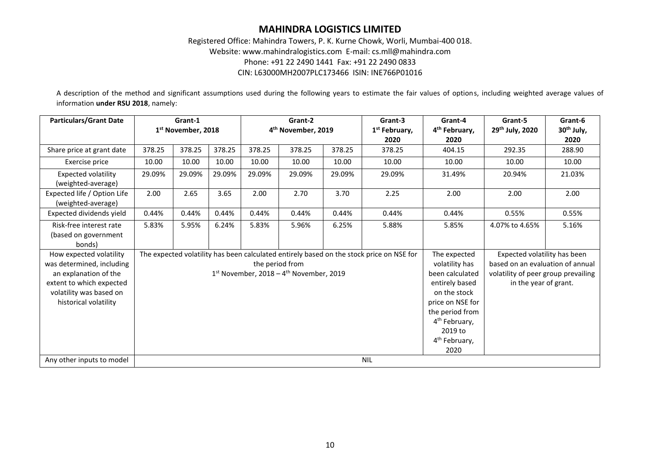### Registered Office: Mahindra Towers, P. K. Kurne Chowk, Worli, Mumbai-400 018. Website: www.mahindralogistics.com E-mail: cs.mll@mahindra.com Phone: +91 22 2490 1441 Fax: +91 22 2490 0833 CIN: L63000MH2007PLC173466 ISIN: INE766P01016

A description of the method and significant assumptions used during the following years to estimate the fair values of options, including weighted average values of information **under RSU 2018**, namely:

| <b>Particulars/Grant Date</b>                                                                                                                                 |        | Grant-1<br>1 <sup>st</sup> November, 2018 |        |        | Grant-2<br>4 <sup>th</sup> November, 2019                                |        | Grant-3<br>1 <sup>st</sup> February,                                                     | Grant-4<br>4 <sup>th</sup> February,                                                                                                                                                                    | Grant-5<br>29th July, 2020                                                                                                       | Grant-6<br>30 <sup>th</sup> July, |  |  |
|---------------------------------------------------------------------------------------------------------------------------------------------------------------|--------|-------------------------------------------|--------|--------|--------------------------------------------------------------------------|--------|------------------------------------------------------------------------------------------|---------------------------------------------------------------------------------------------------------------------------------------------------------------------------------------------------------|----------------------------------------------------------------------------------------------------------------------------------|-----------------------------------|--|--|
|                                                                                                                                                               |        |                                           |        |        |                                                                          |        | 2020                                                                                     | 2020                                                                                                                                                                                                    |                                                                                                                                  | 2020                              |  |  |
| Share price at grant date                                                                                                                                     | 378.25 | 378.25                                    | 378.25 | 378.25 | 378.25                                                                   | 378.25 | 378.25                                                                                   | 404.15                                                                                                                                                                                                  | 292.35                                                                                                                           | 288.90                            |  |  |
| Exercise price                                                                                                                                                | 10.00  | 10.00                                     | 10.00  | 10.00  | 10.00                                                                    | 10.00  | 10.00                                                                                    | 10.00                                                                                                                                                                                                   | 10.00                                                                                                                            | 10.00                             |  |  |
| <b>Expected volatility</b><br>(weighted-average)                                                                                                              | 29.09% | 29.09%                                    | 29.09% | 29.09% | 29.09%                                                                   | 29.09% | 29.09%                                                                                   | 31.49%                                                                                                                                                                                                  | 20.94%                                                                                                                           | 21.03%                            |  |  |
| Expected life / Option Life<br>(weighted-average)                                                                                                             | 2.00   | 2.65                                      | 3.65   | 2.00   | 2.70                                                                     | 3.70   | 2.25                                                                                     | 2.00                                                                                                                                                                                                    | 2.00                                                                                                                             | 2.00                              |  |  |
| Expected dividends yield                                                                                                                                      | 0.44%  | 0.44%                                     | 0.44%  | 0.44%  | 0.44%                                                                    | 0.44%  | 0.44%                                                                                    | 0.44%                                                                                                                                                                                                   | 0.55%                                                                                                                            | 0.55%                             |  |  |
| Risk-free interest rate<br>(based on government<br>bonds)                                                                                                     | 5.83%  | 5.95%                                     | 6.24%  | 5.83%  | 5.96%                                                                    | 6.25%  | 5.88%                                                                                    | 5.85%                                                                                                                                                                                                   | 4.07% to 4.65%                                                                                                                   | 5.16%                             |  |  |
| How expected volatility<br>was determined, including<br>an explanation of the<br>extent to which expected<br>volatility was based on<br>historical volatility |        |                                           |        |        | the period from<br>$1st$ November, 2018 – 4 <sup>th</sup> November, 2019 |        | The expected volatility has been calculated entirely based on the stock price on NSE for | The expected<br>volatility has<br>been calculated<br>entirely based<br>on the stock<br>price on NSE for<br>the period from<br>4 <sup>th</sup> February,<br>2019 to<br>4 <sup>th</sup> February,<br>2020 | Expected volatility has been<br>based on an evaluation of annual<br>volatility of peer group prevailing<br>in the year of grant. |                                   |  |  |
| Any other inputs to model                                                                                                                                     |        |                                           |        |        |                                                                          |        | <b>NIL</b>                                                                               |                                                                                                                                                                                                         |                                                                                                                                  |                                   |  |  |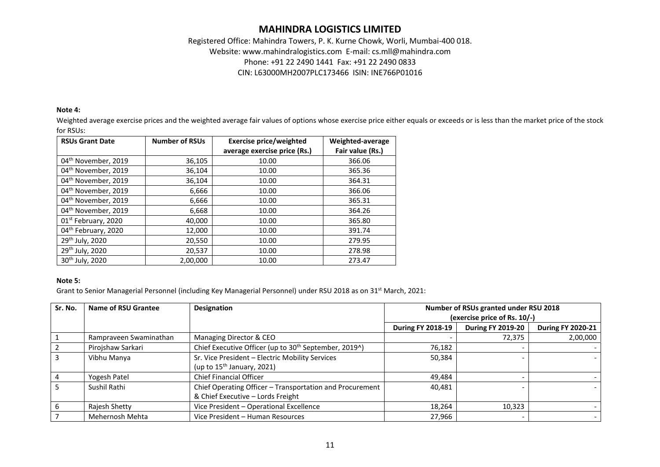### Registered Office: Mahindra Towers, P. K. Kurne Chowk, Worli, Mumbai-400 018. Website: www.mahindralogistics.com E-mail: cs.mll@mahindra.com Phone: +91 22 2490 1441 Fax: +91 22 2490 0833 CIN: L63000MH2007PLC173466 ISIN: INE766P01016

#### **Note 4:**

Weighted average exercise prices and the weighted average fair values of options whose exercise price either equals or exceeds or is less than the market price of the stock for RSUs:

| <b>RSUs Grant Date</b>          | <b>Number of RSUs</b> | <b>Exercise price/weighted</b> | Weighted-average |
|---------------------------------|-----------------------|--------------------------------|------------------|
|                                 |                       | average exercise price (Rs.)   | Fair value (Rs.) |
| 04 <sup>th</sup> November, 2019 | 36,105                | 10.00                          | 366.06           |
| 04 <sup>th</sup> November, 2019 | 36,104                | 10.00                          | 365.36           |
| 04 <sup>th</sup> November, 2019 | 36,104                | 10.00                          | 364.31           |
| 04 <sup>th</sup> November, 2019 | 6,666                 | 10.00                          | 366.06           |
| 04 <sup>th</sup> November, 2019 | 6,666                 | 10.00                          | 365.31           |
| 04 <sup>th</sup> November, 2019 | 6,668                 | 10.00                          | 364.26           |
| 01 <sup>st</sup> February, 2020 | 40,000                | 10.00                          | 365.80           |
| 04th February, 2020             | 12,000                | 10.00                          | 391.74           |
| 29th July, 2020                 | 20,550                | 10.00                          | 279.95           |
| 29th July, 2020                 | 20,537                | 10.00                          | 278.98           |
| 30 <sup>th</sup> July, 2020     | 2,00,000              | 10.00                          | 273.47           |

#### **Note 5:**

Grant to Senior Managerial Personnel (including Key Managerial Personnel) under RSU 2018 as on 31<sup>st</sup> March, 2021:

| Sr. No. | Name of RSU Grantee    | Designation                                                       | Number of RSUs granted under RSU 2018 |                          |                          |  |  |
|---------|------------------------|-------------------------------------------------------------------|---------------------------------------|--------------------------|--------------------------|--|--|
|         |                        |                                                                   | (exercise price of Rs. 10/-)          |                          |                          |  |  |
|         |                        |                                                                   | <b>During FY 2018-19</b>              | <b>During FY 2019-20</b> | <b>During FY 2020-21</b> |  |  |
|         | Rampraveen Swaminathan | Managing Director & CEO                                           |                                       | 72,375                   | 2,00,000                 |  |  |
|         | Pirojshaw Sarkari      | Chief Executive Officer (up to 30 <sup>th</sup> September, 2019^) | 76,182                                |                          |                          |  |  |
| 3       | Vibhu Manya            | Sr. Vice President - Electric Mobility Services                   | 50,384                                |                          |                          |  |  |
|         |                        | (up to $15^{th}$ January, 2021)                                   |                                       |                          |                          |  |  |
| 4       | Yogesh Patel           | <b>Chief Financial Officer</b>                                    | 49,484                                |                          |                          |  |  |
|         | Sushil Rathi           | Chief Operating Officer - Transportation and Procurement          | 40,481                                |                          |                          |  |  |
|         |                        | & Chief Executive - Lords Freight                                 |                                       |                          |                          |  |  |
| 6       | Rajesh Shetty          | Vice President - Operational Excellence                           | 18,264                                | 10,323                   |                          |  |  |
|         | Mehernosh Mehta        | Vice President - Human Resources                                  | 27,966                                | $\overline{\phantom{a}}$ |                          |  |  |